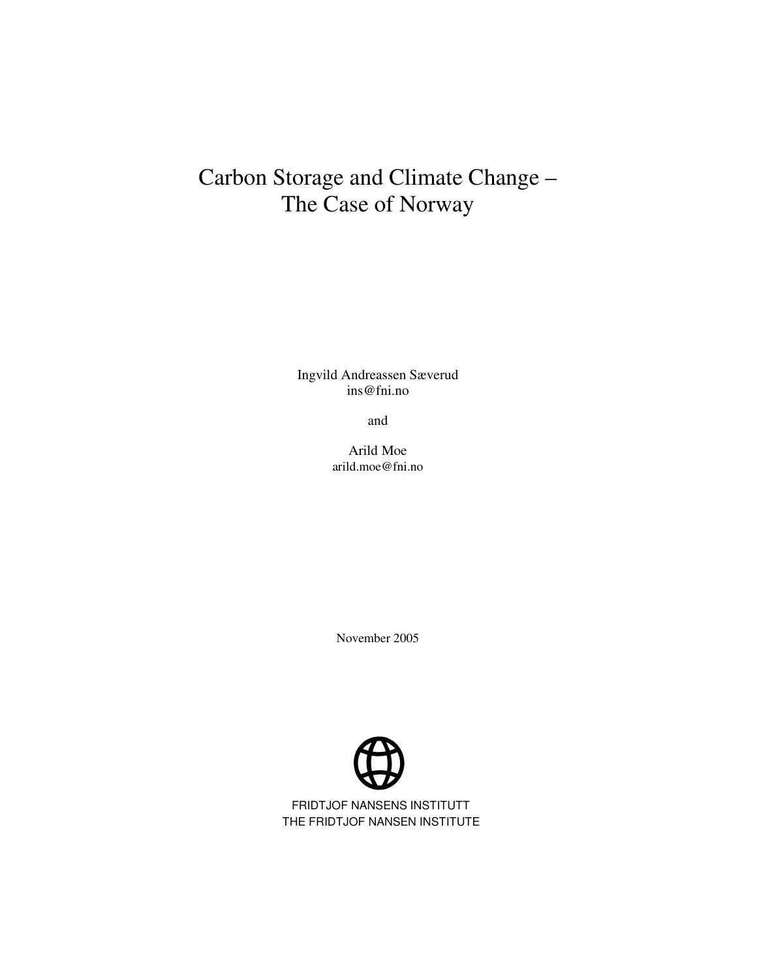# Carbon Storage and Climate Change – The Case of Norway

Ingvild Andreassen Sæverud ins@fni.no

and

Arild Moe arild.moe@fni.no

November 2005



FRIDTJOF NANSENS INSTITUTT THE FRIDTJOF NANSEN INSTITUTE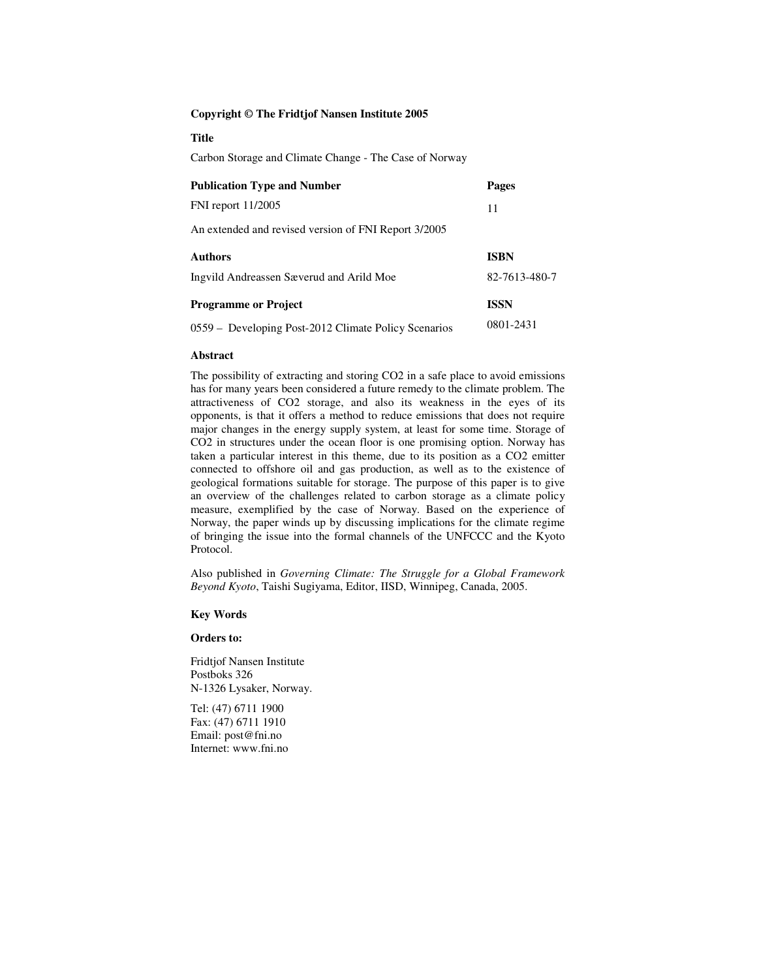#### **Copyright © The Fridtjof Nansen Institute 2005**

#### **Title**

Carbon Storage and Climate Change - The Case of Norway

| <b>Publication Type and Number</b>                   | Pages         |  |
|------------------------------------------------------|---------------|--|
| FNI report 11/2005                                   | 11            |  |
| An extended and revised version of FNI Report 3/2005 |               |  |
| <b>Authors</b>                                       | <b>ISBN</b>   |  |
| Ingvild Andreassen Sæverud and Arild Moe             | 82-7613-480-7 |  |
| <b>Programme or Project</b>                          | <b>ISSN</b>   |  |
| 0559 - Developing Post-2012 Climate Policy Scenarios | 0801-2431     |  |

#### **Abstract**

The possibility of extracting and storing CO2 in a safe place to avoid emissions has for many years been considered a future remedy to the climate problem. The attractiveness of CO2 storage, and also its weakness in the eyes of its opponents, is that it offers a method to reduce emissions that does not require major changes in the energy supply system, at least for some time. Storage of CO2 in structures under the ocean floor is one promising option. Norway has taken a particular interest in this theme, due to its position as a CO2 emitter connected to offshore oil and gas production, as well as to the existence of geological formations suitable for storage. The purpose of this paper is to give an overview of the challenges related to carbon storage as a climate policy measure, exemplified by the case of Norway. Based on the experience of Norway, the paper winds up by discussing implications for the climate regime of bringing the issue into the formal channels of the UNFCCC and the Kyoto Protocol.

Also published in *Governing Climate: The Struggle for a Global Framework Beyond Kyoto*, Taishi Sugiyama, Editor, IISD, Winnipeg, Canada, 2005.

#### **Key Words**

#### **Orders to:**

Fridtjof Nansen Institute Postboks 326 N-1326 Lysaker, Norway.

Tel: (47) 6711 1900 Fax: (47) 6711 1910 Email: post@fni.no Internet: www.fni.no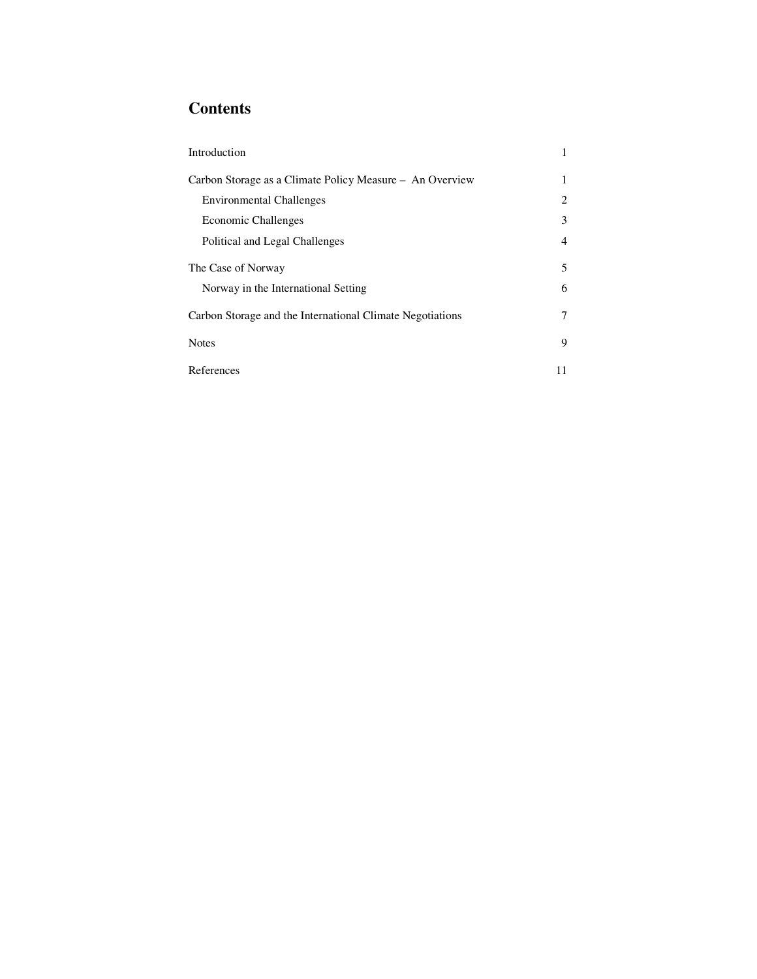# **Contents**

| Introduction                                              | 1  |
|-----------------------------------------------------------|----|
| Carbon Storage as a Climate Policy Measure - An Overview  | 1  |
| <b>Environmental Challenges</b>                           | 2  |
| <b>Economic Challenges</b>                                | 3  |
| Political and Legal Challenges                            | 4  |
| The Case of Norway                                        | 5  |
| Norway in the International Setting                       | 6  |
| Carbon Storage and the International Climate Negotiations | 7  |
| <b>Notes</b>                                              | 9  |
| References                                                | 11 |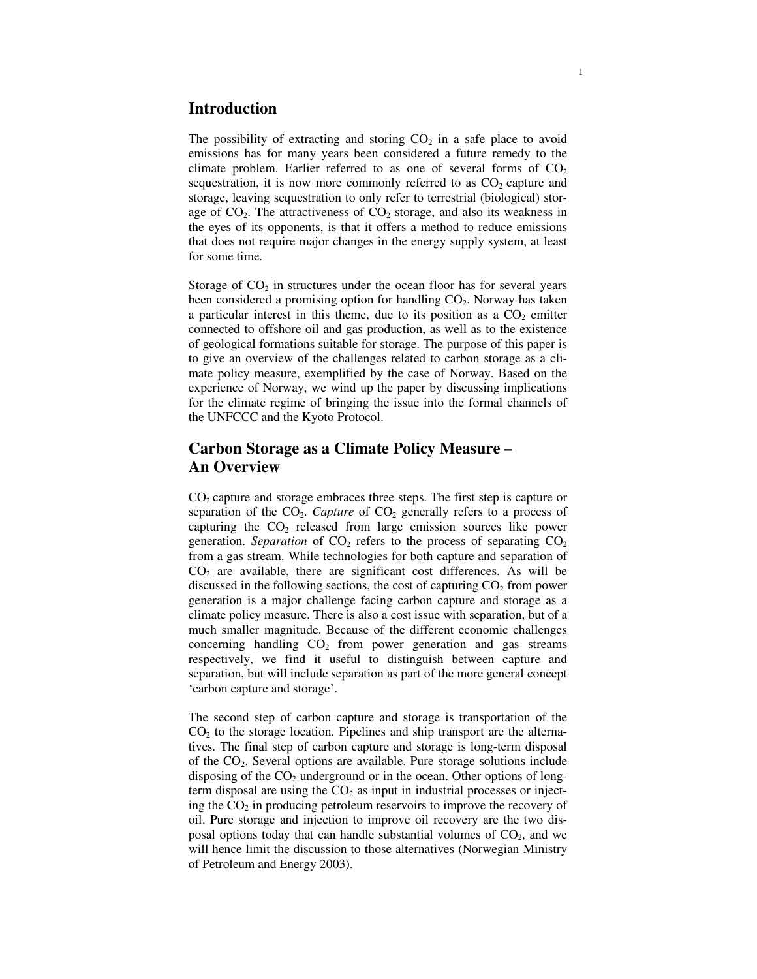# **Introduction**

The possibility of extracting and storing  $CO<sub>2</sub>$  in a safe place to avoid emissions has for many years been considered a future remedy to the climate problem. Earlier referred to as one of several forms of  $CO<sub>2</sub>$ sequestration, it is now more commonly referred to as  $CO<sub>2</sub>$  capture and storage, leaving sequestration to only refer to terrestrial (biological) storage of  $CO<sub>2</sub>$ . The attractiveness of  $CO<sub>2</sub>$  storage, and also its weakness in the eyes of its opponents, is that it offers a method to reduce emissions that does not require major changes in the energy supply system, at least for some time.

Storage of  $CO<sub>2</sub>$  in structures under the ocean floor has for several years been considered a promising option for handling  $CO<sub>2</sub>$ . Norway has taken a particular interest in this theme, due to its position as a  $CO<sub>2</sub>$  emitter connected to offshore oil and gas production, as well as to the existence of geological formations suitable for storage. The purpose of this paper is to give an overview of the challenges related to carbon storage as a climate policy measure, exemplified by the case of Norway. Based on the experience of Norway, we wind up the paper by discussing implications for the climate regime of bringing the issue into the formal channels of the UNFCCC and the Kyoto Protocol.

# **Carbon Storage as a Climate Policy Measure – An Overview**

 $CO<sub>2</sub>$  capture and storage embraces three steps. The first step is capture or separation of the  $CO<sub>2</sub>$ . *Capture* of  $CO<sub>2</sub>$  generally refers to a process of capturing the  $CO<sub>2</sub>$  released from large emission sources like power generation. *Separation* of  $CO<sub>2</sub>$  refers to the process of separating  $CO<sub>2</sub>$ from a gas stream. While technologies for both capture and separation of  $CO<sub>2</sub>$  are available, there are significant cost differences. As will be discussed in the following sections, the cost of capturing  $CO<sub>2</sub>$  from power generation is a major challenge facing carbon capture and storage as a climate policy measure. There is also a cost issue with separation, but of a much smaller magnitude. Because of the different economic challenges concerning handling  $CO<sub>2</sub>$  from power generation and gas streams respectively, we find it useful to distinguish between capture and separation, but will include separation as part of the more general concept 'carbon capture and storage'.

The second step of carbon capture and storage is transportation of the  $CO<sub>2</sub>$  to the storage location. Pipelines and ship transport are the alternatives. The final step of carbon capture and storage is long-term disposal of the CO2. Several options are available. Pure storage solutions include disposing of the  $CO<sub>2</sub>$  underground or in the ocean. Other options of longterm disposal are using the  $CO<sub>2</sub>$  as input in industrial processes or injecting the  $CO<sub>2</sub>$  in producing petroleum reservoirs to improve the recovery of oil. Pure storage and injection to improve oil recovery are the two disposal options today that can handle substantial volumes of  $CO<sub>2</sub>$ , and we will hence limit the discussion to those alternatives (Norwegian Ministry of Petroleum and Energy 2003).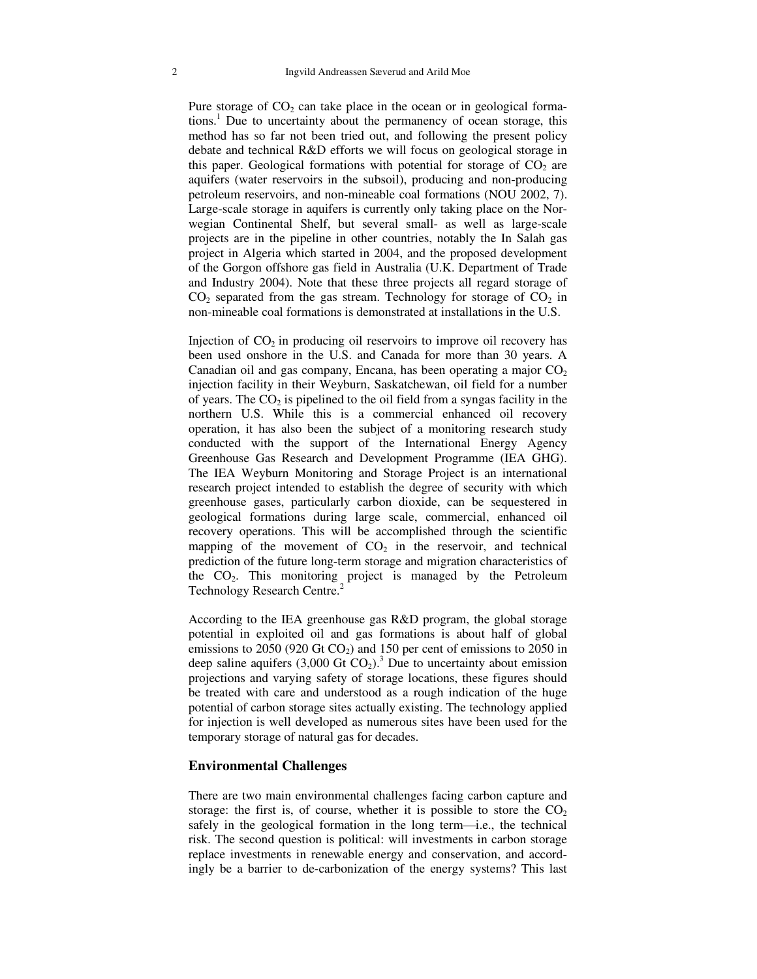Pure storage of  $CO<sub>2</sub>$  can take place in the ocean or in geological formations. <sup>1</sup> Due to uncertainty about the permanency of ocean storage, this method has so far not been tried out, and following the present policy debate and technical R&D efforts we will focus on geological storage in this paper. Geological formations with potential for storage of  $CO<sub>2</sub>$  are aquifers (water reservoirs in the subsoil), producing and non-producing petroleum reservoirs, and non-mineable coal formations (NOU 2002, 7). Large-scale storage in aquifers is currently only taking place on the Norwegian Continental Shelf, but several small- as well as large-scale projects are in the pipeline in other countries, notably the In Salah gas project in Algeria which started in 2004, and the proposed development of the Gorgon offshore gas field in Australia (U.K. Department of Trade and Industry 2004). Note that these three projects all regard storage of  $CO<sub>2</sub>$  separated from the gas stream. Technology for storage of  $CO<sub>2</sub>$  in non-mineable coal formations is demonstrated at installations in the U.S.

Injection of  $CO<sub>2</sub>$  in producing oil reservoirs to improve oil recovery has been used onshore in the U.S. and Canada for more than 30 years. A Canadian oil and gas company, Encana, has been operating a major  $CO<sub>2</sub>$ injection facility in their Weyburn, Saskatchewan, oil field for a number of years. The  $CO<sub>2</sub>$  is pipelined to the oil field from a syngas facility in the northern U.S. While this is a commercial enhanced oil recovery operation, it has also been the subject of a monitoring research study conducted with the support of the International Energy Agency Greenhouse Gas Research and Development Programme (IEA GHG). The IEA Weyburn Monitoring and Storage Project is an international research project intended to establish the degree of security with which greenhouse gases, particularly carbon dioxide, can be sequestered in geological formations during large scale, commercial, enhanced oil recovery operations. This will be accomplished through the scientific mapping of the movement of  $CO<sub>2</sub>$  in the reservoir, and technical prediction of the future long-term storage and migration characteristics of the CO2. This monitoring project is managed by the Petroleum Technology Research Centre.<sup>2</sup>

According to the IEA greenhouse gas R&D program, the global storage potential in exploited oil and gas formations is about half of global emissions to 2050 (920 Gt  $CO<sub>2</sub>$ ) and 150 per cent of emissions to 2050 in deep saline aquifers  $(3,000 \text{ Gt CO}_2)$ .<sup>3</sup> Due to uncertainty about emission projections and varying safety of storage locations, these figures should be treated with care and understood as a rough indication of the huge potential of carbon storage sites actually existing. The technology applied for injection is well developed as numerous sites have been used for the temporary storage of natural gas for decades.

#### **Environmental Challenges**

There are two main environmental challenges facing carbon capture and storage: the first is, of course, whether it is possible to store the  $CO<sub>2</sub>$ safely in the geological formation in the long term—i.e., the technical risk. The second question is political: will investments in carbon storage replace investments in renewable energy and conservation, and accordingly be a barrier to de-carbonization of the energy systems? This last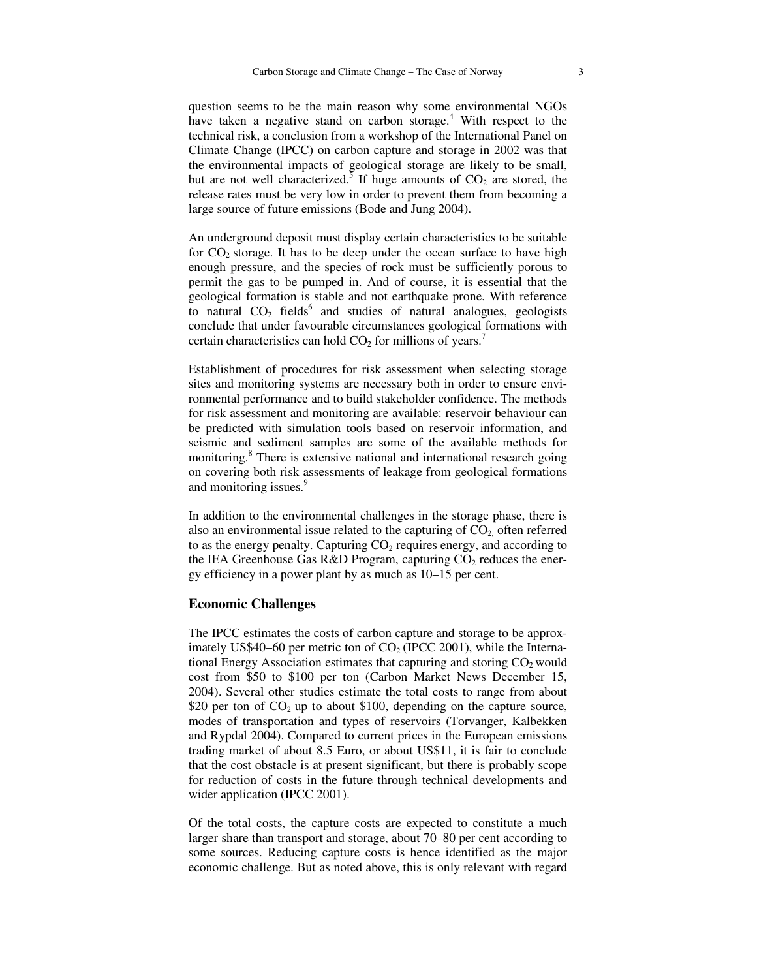question seems to be the main reason why some environmental NGOs have taken a negative stand on carbon storage. <sup>4</sup> With respect to the technical risk, a conclusion from a workshop of the International Panel on Climate Change (IPCC) on carbon capture and storage in 2002 was that the environmental impacts of geological storage are likely to be small, but are not well characterized.<sup>5</sup> If huge amounts of  $CO_2$  are stored, the release rates must be very low in order to prevent them from becoming a large source of future emissions (Bode and Jung 2004).

An underground deposit must display certain characteristics to be suitable for  $CO<sub>2</sub>$  storage. It has to be deep under the ocean surface to have high enough pressure, and the species of rock must be sufficiently porous to permit the gas to be pumped in. And of course, it is essential that the geological formation is stable and not earthquake prone. With reference to natural CO<sub>2</sub> fields<sup>6</sup> and studies of natural analogues, geologists conclude that under favourable circumstances geological formations with certain characteristics can hold  $CO<sub>2</sub>$  for millions of years.<sup>7</sup>

Establishment of procedures for risk assessment when selecting storage sites and monitoring systems are necessary both in order to ensure environmental performance and to build stakeholder confidence. The methods for risk assessment and monitoring are available: reservoir behaviour can be predicted with simulation tools based on reservoir information, and seismic and sediment samples are some of the available methods for monitoring. <sup>8</sup> There is extensive national and international research going on covering both risk assessments of leakage from geological formations and monitoring issues.<sup>9</sup>

In addition to the environmental challenges in the storage phase, there is also an environmental issue related to the capturing of  $CO<sub>2</sub>$  often referred to as the energy penalty. Capturing  $CO<sub>2</sub>$  requires energy, and according to the IEA Greenhouse Gas R&D Program, capturing  $CO<sub>2</sub>$  reduces the energy efficiency in a power plant by as much as 10–15 per cent.

#### **Economic Challenges**

The IPCC estimates the costs of carbon capture and storage to be approximately US\$40–60 per metric ton of  $CO<sub>2</sub>$  (IPCC 2001), while the International Energy Association estimates that capturing and storing  $CO<sub>2</sub>$  would cost from \$50 to \$100 per ton (Carbon Market News December 15, 2004). Several other studies estimate the total costs to range from about \$20 per ton of  $CO<sub>2</sub>$  up to about \$100, depending on the capture source, modes of transportation and types of reservoirs (Torvanger, Kalbekken and Rypdal 2004). Compared to current prices in the European emissions trading market of about 8.5 Euro, or about US\$11, it is fair to conclude that the cost obstacle is at present significant, but there is probably scope for reduction of costs in the future through technical developments and wider application (IPCC 2001).

Of the total costs, the capture costs are expected to constitute a much larger share than transport and storage, about 70–80 per cent according to some sources. Reducing capture costs is hence identified as the major economic challenge. But as noted above, this is only relevant with regard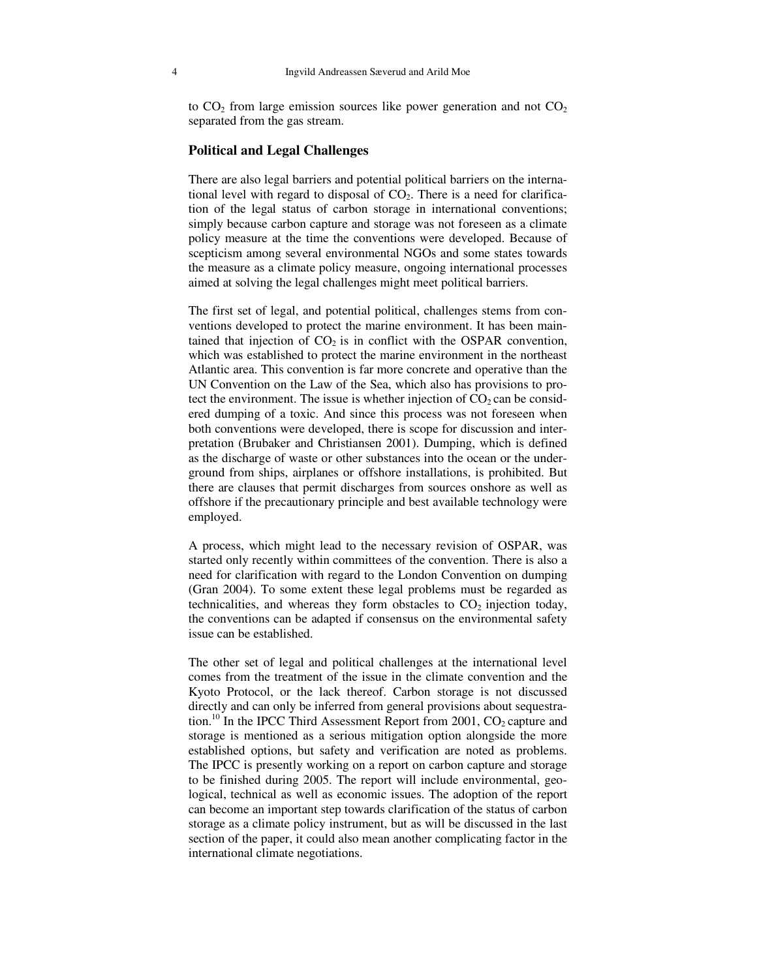to  $CO<sub>2</sub>$  from large emission sources like power generation and not  $CO<sub>2</sub>$ separated from the gas stream.

#### **Political and Legal Challenges**

There are also legal barriers and potential political barriers on the international level with regard to disposal of  $CO<sub>2</sub>$ . There is a need for clarification of the legal status of carbon storage in international conventions; simply because carbon capture and storage was not foreseen as a climate policy measure at the time the conventions were developed. Because of scepticism among several environmental NGOs and some states towards the measure as a climate policy measure, ongoing international processes aimed at solving the legal challenges might meet political barriers.

The first set of legal, and potential political, challenges stems from conventions developed to protect the marine environment. It has been maintained that injection of  $CO<sub>2</sub>$  is in conflict with the OSPAR convention, which was established to protect the marine environment in the northeast Atlantic area. This convention is far more concrete and operative than the UN Convention on the Law of the Sea, which also has provisions to protect the environment. The issue is whether injection of  $CO<sub>2</sub>$  can be considered dumping of a toxic. And since this process was not foreseen when both conventions were developed, there is scope for discussion and interpretation (Brubaker and Christiansen 2001). Dumping, which is defined as the discharge of waste or other substances into the ocean or the underground from ships, airplanes or offshore installations, is prohibited. But there are clauses that permit discharges from sources onshore as well as offshore if the precautionary principle and best available technology were employed.

A process, which might lead to the necessary revision of OSPAR, was started only recently within committees of the convention. There is also a need for clarification with regard to the London Convention on dumping (Gran 2004). To some extent these legal problems must be regarded as technicalities, and whereas they form obstacles to  $CO<sub>2</sub>$  injection today, the conventions can be adapted if consensus on the environmental safety issue can be established.

The other set of legal and political challenges at the international level comes from the treatment of the issue in the climate convention and the Kyoto Protocol, or the lack thereof. Carbon storage is not discussed directly and can only be inferred from general provisions about sequestration.<sup>10</sup> In the IPCC Third Assessment Report from 2001,  $CO<sub>2</sub>$  capture and storage is mentioned as a serious mitigation option alongside the more established options, but safety and verification are noted as problems. The IPCC is presently working on a report on carbon capture and storage to be finished during 2005. The report will include environmental, geological, technical as well as economic issues. The adoption of the report can become an important step towards clarification of the status of carbon storage as a climate policy instrument, but as will be discussed in the last section of the paper, it could also mean another complicating factor in the international climate negotiations.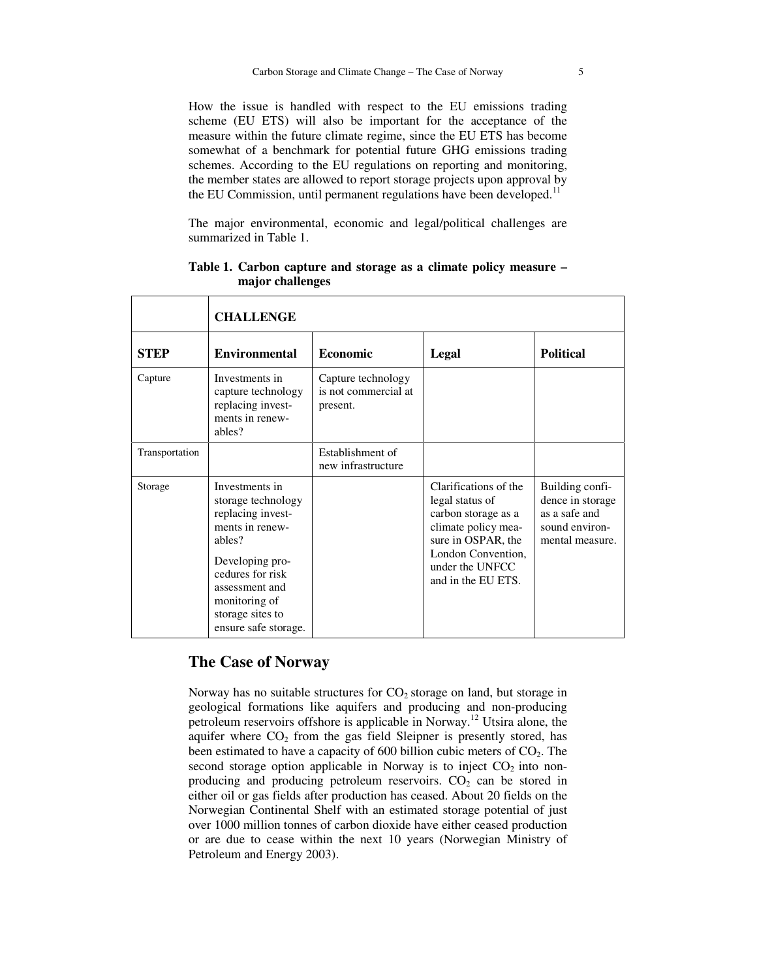How the issue is handled with respect to the EU emissions trading scheme (EU ETS) will also be important for the acceptance of the measure within the future climate regime, since the EU ETS has become somewhat of a benchmark for potential future GHG emissions trading schemes. According to the EU regulations on reporting and monitoring, the member states are allowed to report storage projects upon approval by the EU Commission, until permanent regulations have been developed.<sup>11</sup>

The major environmental, economic and legal/political challenges are summarized in Table 1.

|                | <b>CHALLENGE</b>                                                                                                                                                                                             |                                                        |                                                                                                                                                                             |                                                                                           |  |
|----------------|--------------------------------------------------------------------------------------------------------------------------------------------------------------------------------------------------------------|--------------------------------------------------------|-----------------------------------------------------------------------------------------------------------------------------------------------------------------------------|-------------------------------------------------------------------------------------------|--|
| <b>STEP</b>    | <b>Environmental</b>                                                                                                                                                                                         | Economic                                               | Legal                                                                                                                                                                       | <b>Political</b>                                                                          |  |
| Capture        | Investments in<br>capture technology<br>replacing invest-<br>ments in renew-<br>ables?                                                                                                                       | Capture technology<br>is not commercial at<br>present. |                                                                                                                                                                             |                                                                                           |  |
| Transportation |                                                                                                                                                                                                              | Establishment of<br>new infrastructure                 |                                                                                                                                                                             |                                                                                           |  |
| Storage        | Investments in<br>storage technology<br>replacing invest-<br>ments in renew-<br>ables?<br>Developing pro-<br>cedures for risk<br>assessment and<br>monitoring of<br>storage sites to<br>ensure safe storage. |                                                        | Clarifications of the<br>legal status of<br>carbon storage as a<br>climate policy mea-<br>sure in OSPAR, the<br>London Convention,<br>under the UNFCC<br>and in the EU ETS. | Building confi-<br>dence in storage<br>as a safe and<br>sound environ-<br>mental measure. |  |

**Table 1. Carbon capture and storage as a climate policy measure – major challenges**

# **The Case of Norway**

Norway has no suitable structures for  $CO<sub>2</sub>$  storage on land, but storage in geological formations like aquifers and producing and non-producing petroleum reservoirs offshore is applicable in Norway.<sup>12</sup> Utsira alone, the aquifer where  $CO<sub>2</sub>$  from the gas field Sleipner is presently stored, has been estimated to have a capacity of 600 billion cubic meters of  $CO<sub>2</sub>$ . The second storage option applicable in Norway is to inject  $CO<sub>2</sub>$  into nonproducing and producing petroleum reservoirs.  $CO<sub>2</sub>$  can be stored in either oil or gas fields after production has ceased. About 20 fields on the Norwegian Continental Shelf with an estimated storage potential of just over 1000 million tonnes of carbon dioxide have either ceased production or are due to cease within the next 10 years (Norwegian Ministry of Petroleum and Energy 2003).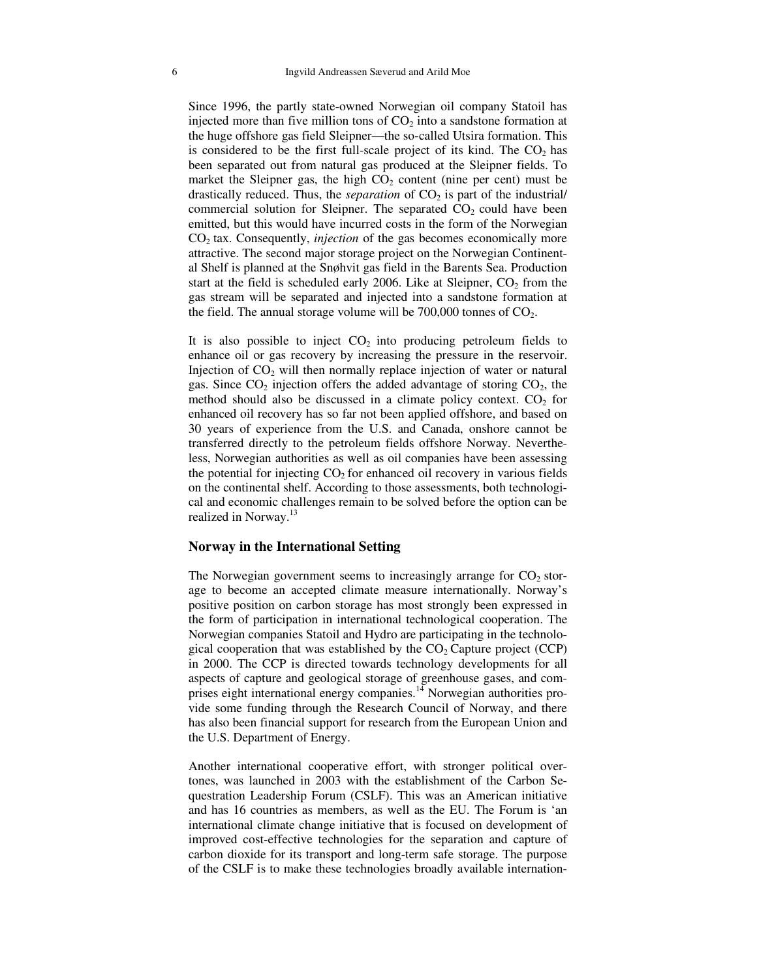Since 1996, the partly state-owned Norwegian oil company Statoil has injected more than five million tons of  $CO<sub>2</sub>$  into a sandstone formation at the huge offshore gas field Sleipner—the so-called Utsira formation. This is considered to be the first full-scale project of its kind. The  $CO<sub>2</sub>$  has been separated out from natural gas produced at the Sleipner fields. To market the Sleipner gas, the high  $CO<sub>2</sub>$  content (nine per cent) must be drastically reduced. Thus, the *separation* of  $CO<sub>2</sub>$  is part of the industrial/ commercial solution for Sleipner. The separated  $CO<sub>2</sub>$  could have been emitted, but this would have incurred costs in the form of the Norwegian CO<sup>2</sup> tax. Consequently, *injection* of the gas becomes economically more attractive. The second major storage project on the Norwegian Continental Shelf is planned at the Snøhvit gas field in the Barents Sea. Production start at the field is scheduled early 2006. Like at Sleipner,  $CO<sub>2</sub>$  from the gas stream will be separated and injected into a sandstone formation at the field. The annual storage volume will be  $700,000$  tonnes of  $CO<sub>2</sub>$ .

It is also possible to inject  $CO<sub>2</sub>$  into producing petroleum fields to enhance oil or gas recovery by increasing the pressure in the reservoir. Injection of  $CO<sub>2</sub>$  will then normally replace injection of water or natural gas. Since  $CO<sub>2</sub>$  injection offers the added advantage of storing  $CO<sub>2</sub>$ , the method should also be discussed in a climate policy context.  $CO<sub>2</sub>$  for enhanced oil recovery has so far not been applied offshore, and based on 30 years of experience from the U.S. and Canada, onshore cannot be transferred directly to the petroleum fields offshore Norway. Nevertheless, Norwegian authorities as well as oil companies have been assessing the potential for injecting  $CO<sub>2</sub>$  for enhanced oil recovery in various fields on the continental shelf. According to those assessments, both technological and economic challenges remain to be solved before the option can be realized in Norway.<sup>13</sup>

#### **Norway in the International Setting**

The Norwegian government seems to increasingly arrange for  $CO<sub>2</sub>$  storage to become an accepted climate measure internationally. Norway's positive position on carbon storage has most strongly been expressed in the form of participation in international technological cooperation. The Norwegian companies Statoil and Hydro are participating in the technological cooperation that was established by the  $CO<sub>2</sub>$  Capture project (CCP) in 2000. The CCP is directed towards technology developments for all aspects of capture and geological storage of greenhouse gases, and comprises eight international energy companies.<sup>14</sup> Norwegian authorities provide some funding through the Research Council of Norway, and there has also been financial support for research from the European Union and the U.S. Department of Energy.

Another international cooperative effort, with stronger political overtones, was launched in 2003 with the establishment of the Carbon Sequestration Leadership Forum (CSLF). This was an American initiative and has 16 countries as members, as well as the EU. The Forum is 'an international climate change initiative that is focused on development of improved cost-effective technologies for the separation and capture of carbon dioxide for its transport and long-term safe storage. The purpose of the CSLF is to make these technologies broadly available internation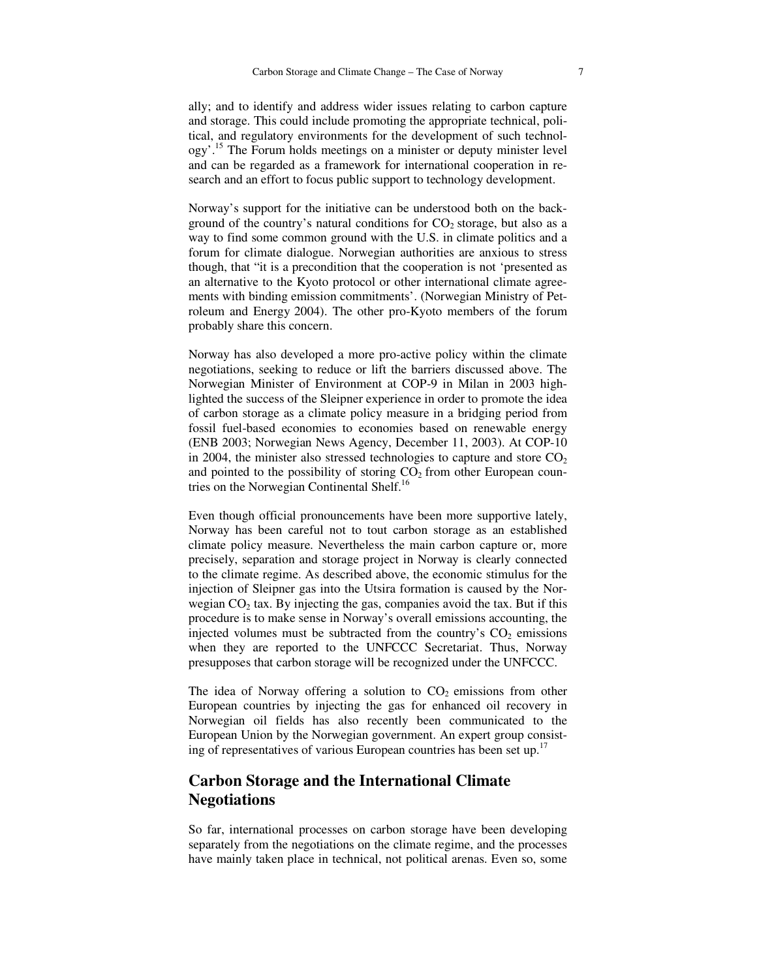ally; and to identify and address wider issues relating to carbon capture and storage. This could include promoting the appropriate technical, political, and regulatory environments for the development of such technology'.<sup>15</sup> The Forum holds meetings on a minister or deputy minister level and can be regarded as a framework for international cooperation in research and an effort to focus public support to technology development.

Norway's support for the initiative can be understood both on the background of the country's natural conditions for  $CO<sub>2</sub>$  storage, but also as a way to find some common ground with the U.S. in climate politics and a forum for climate dialogue. Norwegian authorities are anxious to stress though, that "it is a precondition that the cooperation is not 'presented as an alternative to the Kyoto protocol or other international climate agreements with binding emission commitments'. (Norwegian Ministry of Petroleum and Energy 2004). The other pro-Kyoto members of the forum probably share this concern.

Norway has also developed a more pro-active policy within the climate negotiations, seeking to reduce or lift the barriers discussed above. The Norwegian Minister of Environment at COP-9 in Milan in 2003 highlighted the success of the Sleipner experience in order to promote the idea of carbon storage as a climate policy measure in a bridging period from fossil fuel-based economies to economies based on renewable energy (ENB 2003; Norwegian News Agency, December 11, 2003). At COP-10 in 2004, the minister also stressed technologies to capture and store  $CO<sub>2</sub>$ and pointed to the possibility of storing  $CO<sub>2</sub>$  from other European countries on the Norwegian Continental Shelf.<sup>16</sup>

Even though official pronouncements have been more supportive lately, Norway has been careful not to tout carbon storage as an established climate policy measure. Nevertheless the main carbon capture or, more precisely, separation and storage project in Norway is clearly connected to the climate regime. As described above, the economic stimulus for the injection of Sleipner gas into the Utsira formation is caused by the Norwegian  $CO<sub>2</sub>$  tax. By injecting the gas, companies avoid the tax. But if this procedure is to make sense in Norway's overall emissions accounting, the injected volumes must be subtracted from the country's  $CO<sub>2</sub>$  emissions when they are reported to the UNFCCC Secretariat. Thus, Norway presupposes that carbon storage will be recognized under the UNFCCC.

The idea of Norway offering a solution to  $CO<sub>2</sub>$  emissions from other European countries by injecting the gas for enhanced oil recovery in Norwegian oil fields has also recently been communicated to the European Union by the Norwegian government. An expert group consisting of representatives of various European countries has been set up.<sup>17</sup>

# **Carbon Storage and the International Climate Negotiations**

So far, international processes on carbon storage have been developing separately from the negotiations on the climate regime, and the processes have mainly taken place in technical, not political arenas. Even so, some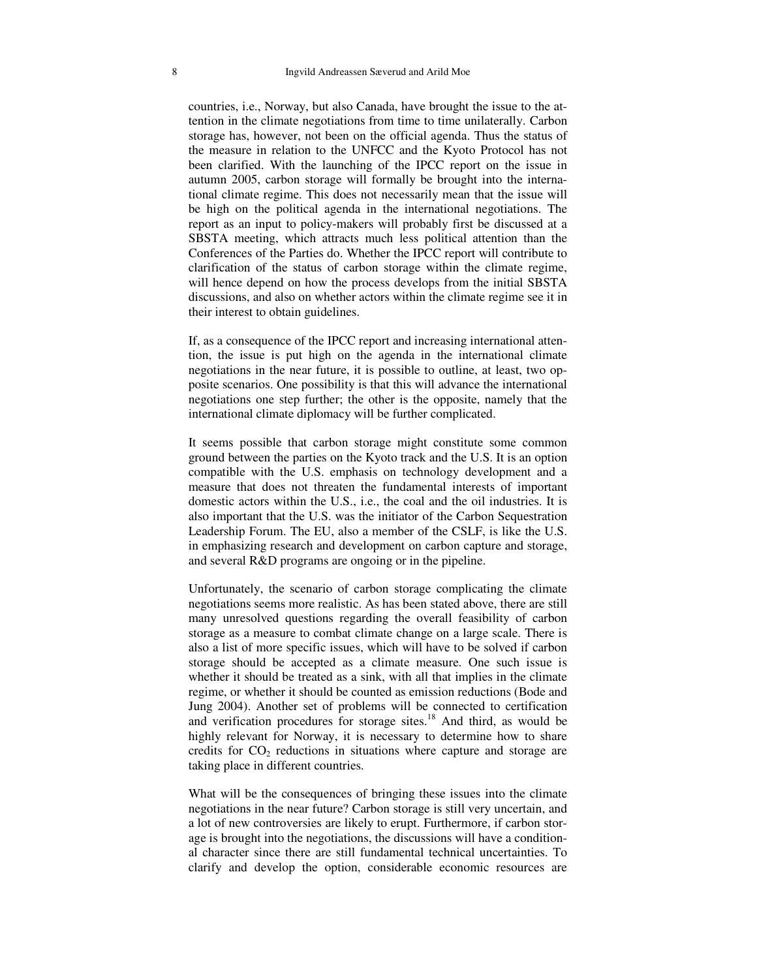countries, i.e., Norway, but also Canada, have brought the issue to the attention in the climate negotiations from time to time unilaterally. Carbon storage has, however, not been on the official agenda. Thus the status of the measure in relation to the UNFCC and the Kyoto Protocol has not been clarified. With the launching of the IPCC report on the issue in autumn 2005, carbon storage will formally be brought into the international climate regime. This does not necessarily mean that the issue will be high on the political agenda in the international negotiations. The report as an input to policy-makers will probably first be discussed at a SBSTA meeting, which attracts much less political attention than the Conferences of the Parties do. Whether the IPCC report will contribute to clarification of the status of carbon storage within the climate regime, will hence depend on how the process develops from the initial SBSTA discussions, and also on whether actors within the climate regime see it in their interest to obtain guidelines.

If, as a consequence of the IPCC report and increasing international attention, the issue is put high on the agenda in the international climate negotiations in the near future, it is possible to outline, at least, two opposite scenarios. One possibility is that this will advance the international negotiations one step further; the other is the opposite, namely that the international climate diplomacy will be further complicated.

It seems possible that carbon storage might constitute some common ground between the parties on the Kyoto track and the U.S. It is an option compatible with the U.S. emphasis on technology development and a measure that does not threaten the fundamental interests of important domestic actors within the U.S., i.e., the coal and the oil industries. It is also important that the U.S. was the initiator of the Carbon Sequestration Leadership Forum. The EU, also a member of the CSLF, is like the U.S. in emphasizing research and development on carbon capture and storage, and several R&D programs are ongoing or in the pipeline.

Unfortunately, the scenario of carbon storage complicating the climate negotiations seems more realistic. As has been stated above, there are still many unresolved questions regarding the overall feasibility of carbon storage as a measure to combat climate change on a large scale. There is also a list of more specific issues, which will have to be solved if carbon storage should be accepted as a climate measure. One such issue is whether it should be treated as a sink, with all that implies in the climate regime, or whether it should be counted as emission reductions (Bode and Jung 2004). Another set of problems will be connected to certification and verification procedures for storage sites. <sup>18</sup> And third, as would be highly relevant for Norway, it is necessary to determine how to share credits for  $CO<sub>2</sub>$  reductions in situations where capture and storage are taking place in different countries.

What will be the consequences of bringing these issues into the climate negotiations in the near future? Carbon storage is still very uncertain, and a lot of new controversies are likely to erupt. Furthermore, if carbon storage is brought into the negotiations, the discussions will have a conditional character since there are still fundamental technical uncertainties. To clarify and develop the option, considerable economic resources are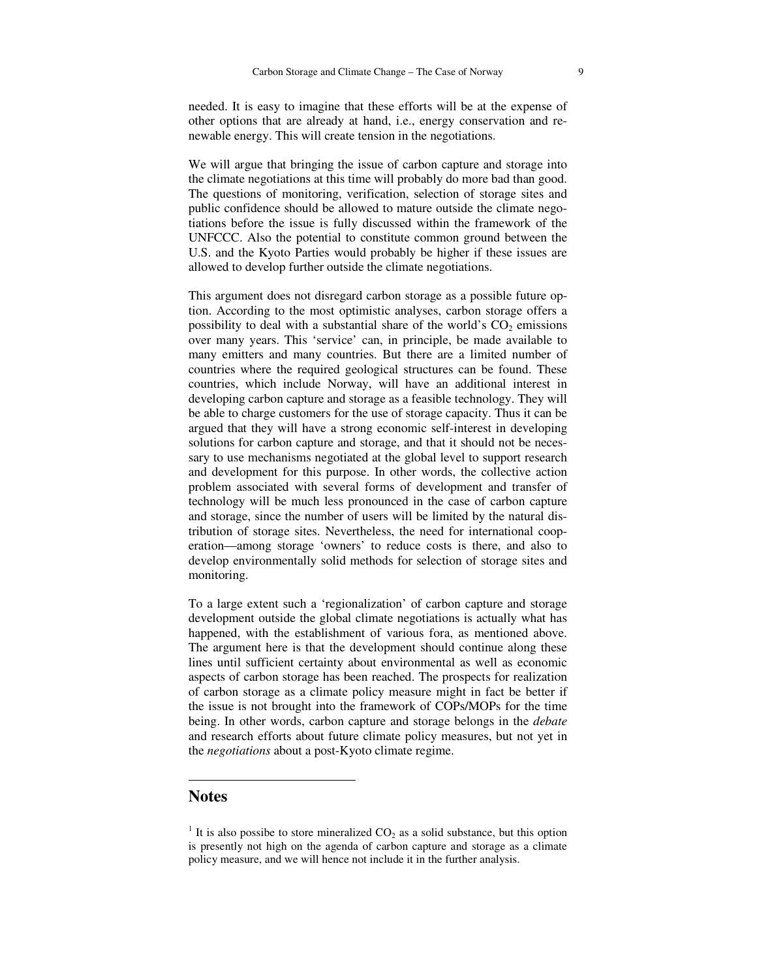needed. It is easy to imagine that these efforts will be at the expense of other options that are already at hand, i.e., energy conservation and renewable energy. This will create tension in the negotiations.

We will argue that bringing the issue of carbon capture and storage into the climate negotiations at this time will probably do more bad than good. The questions of monitoring, verification, selection of storage sites and public confidence should be allowed to mature outside the climate negotiations before the issue is fully discussed within the framework of the UNFCCC. Also the potential to constitute common ground between the U.S. and the Kyoto Parties would probably be higher if these issues are allowed to develop further outside the climate negotiations.

This argument does not disregard carbon storage as a possible future option. According to the most optimistic analyses, carbon storage offers a possibility to deal with a substantial share of the world's  $CO<sub>2</sub>$  emissions over many years. This 'service' can, in principle, be made available to many emitters and many countries. But there are a limited number of countries where the required geological structures can be found. These countries, which include Norway, will have an additional interest in developing carbon capture and storage as a feasible technology. They will be able to charge customers for the use of storage capacity. Thus it can be argued that they will have a strong economic self-interest in developing solutions for carbon capture and storage, and that it should not be necessary to use mechanisms negotiated at the global level to support research and development for this purpose. In other words, the collective action problem associated with several forms of development and transfer of technology will be much less pronounced in the case of carbon capture and storage, since the number of users will be limited by the natural distribution of storage sites. Nevertheless, the need for international cooperation—among storage 'owners' to reduce costs is there, and also to develop environmentally solid methods for selection of storage sites and monitoring.

To a large extent such a 'regionalization' of carbon capture and storage development outside the global climate negotiations is actually what has happened, with the establishment of various fora, as mentioned above. The argument here is that the development should continue along these lines until sufficient certainty about environmental as well as economic aspects of carbon storage has been reached. The prospects for realization of carbon storage as a climate policy measure might in fact be better if the issue is not brought into the framework of COPs/MOPs for the time being. In other words, carbon capture and storage belongs in the *debate* and research efforts about future climate policy measures, but not yet in the *negotiations* about a post-Kyoto climate regime.

### **Notes**

<sup>&</sup>lt;sup>1</sup> It is also possibe to store mineralized  $CO<sub>2</sub>$  as a solid substance, but this option is presently not high on the agenda of carbon capture and storage as a climate policy measure, and we will hence not include it in the further analysis.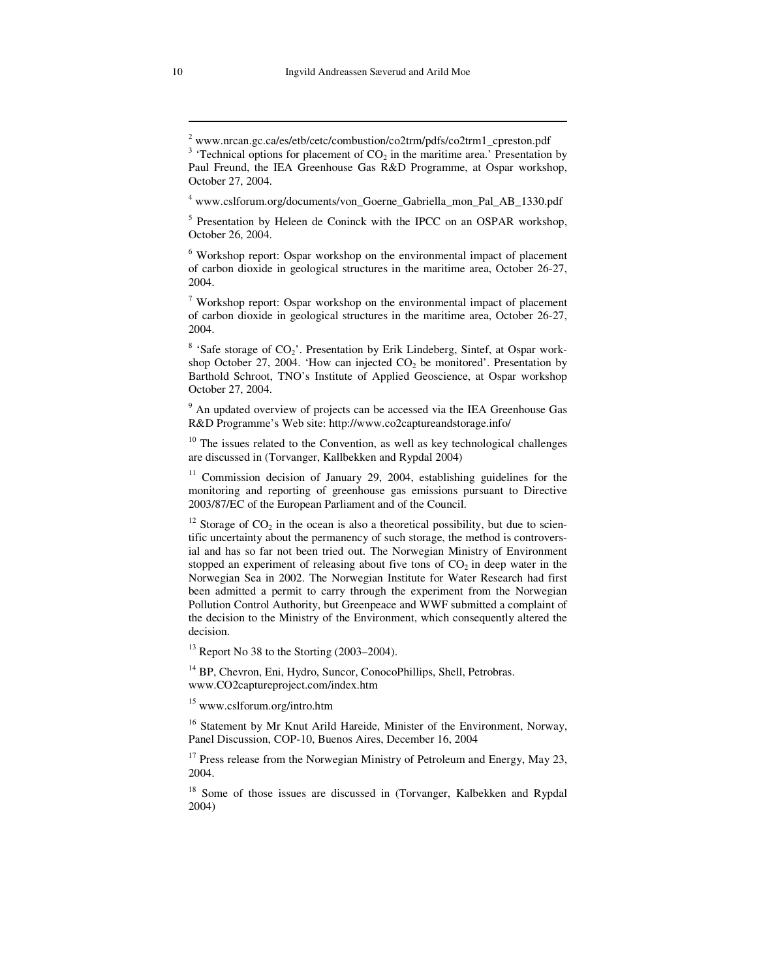<sup>4</sup> www.cslforum.org/documents/von Goerne Gabriella mon Pal AB 1330.pdf

<sup>5</sup> Presentation by Heleen de Coninck with the IPCC on an OSPAR workshop, October 26, 2004.

<sup>6</sup> Workshop report: Ospar workshop on the environmental impact of placement of carbon dioxide in geological structures in the maritime area, October 26-27, 2004.

<sup>7</sup> Workshop report: Ospar workshop on the environmental impact of placement of carbon dioxide in geological structures in the maritime area, October 26-27, 2004.

 $8$  'Safe storage of CO<sub>2</sub>'. Presentation by Erik Lindeberg, Sintef, at Ospar workshop October 27, 2004. 'How can injected  $CO<sub>2</sub>$  be monitored'. Presentation by Barthold Schroot, TNO's Institute of Applied Geoscience, at Ospar workshop October 27, 2004.

<sup>9</sup> An updated overview of projects can be accessed via the IEA Greenhouse Gas R&D Programme's Web site: http://www.co2captureandstorage.info/

<sup>10</sup> The issues related to the Convention, as well as key technological challenges are discussed in (Torvanger, Kallbekken and Rypdal 2004)

<sup>11</sup> Commission decision of January 29, 2004, establishing guidelines for the monitoring and reporting of greenhouse gas emissions pursuant to Directive 2003/87/EC of the European Parliament and of the Council.

<sup>12</sup> Storage of  $CO<sub>2</sub>$  in the ocean is also a theoretical possibility, but due to scientific uncertainty about the permanency of such storage, the method is controversial and has so far not been tried out. The Norwegian Ministry of Environment stopped an experiment of releasing about five tons of  $CO<sub>2</sub>$  in deep water in the Norwegian Sea in 2002. The Norwegian Institute for Water Research had first been admitted a permit to carry through the experiment from the Norwegian Pollution Control Authority, but Greenpeace and WWF submitted a complaint of the decision to the Ministry of the Environment, which consequently altered the decision.

 $13$  Report No 38 to the Storting (2003–2004).

<sup>14</sup> BP, Chevron, Eni, Hydro, Suncor, ConocoPhillips, Shell, Petrobras. www.CO2captureproject.com/index.htm

<sup>15</sup> www.cslforum.org/intro.htm

<sup>16</sup> Statement by Mr Knut Arild Hareide, Minister of the Environment, Norway, Panel Discussion, COP-10, Buenos Aires, December 16, 2004

<sup>17</sup> Press release from the Norwegian Ministry of Petroleum and Energy, May 23, 2004.

<sup>18</sup> Some of those issues are discussed in (Torvanger, Kalbekken and Rypdal 2004)

<sup>2</sup> www.nrcan.gc.ca/es/etb/cetc/combustion/co2trm/pdfs/co2trm1\_cpreston.pdf

 $3$  'Technical options for placement of  $CO<sub>2</sub>$  in the maritime area.' Presentation by Paul Freund, the IEA Greenhouse Gas R&D Programme, at Ospar workshop, October 27, 2004.